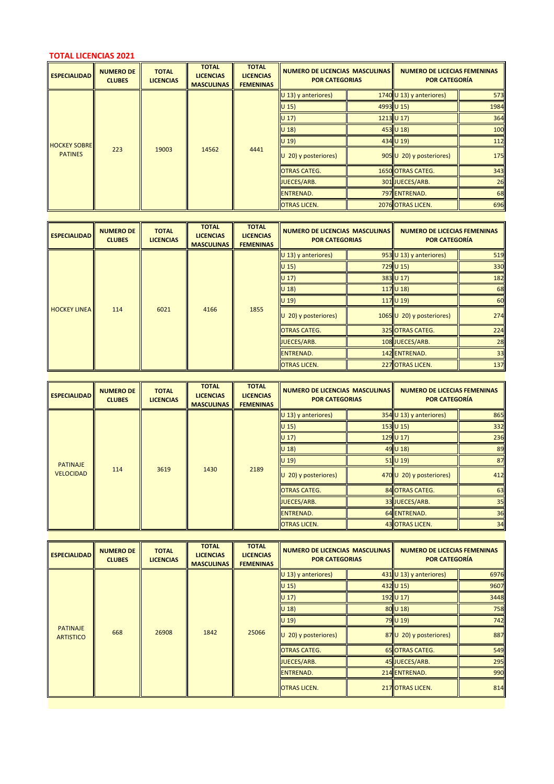## **TOTAL LICENCIAS 2021**

| <b>ESPECIALIDAD</b>                   | <b>NUMERO DE</b><br><b>CLUBES</b> | <b>TOTAL</b><br><b>LICENCIAS</b> | <b>TOTAL</b><br><b>LICENCIAS</b><br><b>MASCULINAS</b> | <b>TOTAL</b><br><b>LICENCIAS</b><br><b>FEMENINAS</b> | <b>NUMERO DE LICENCIAS MASCULINAS</b><br><b>POR CATEGORIAS</b> | <b>NUMERO DE LICECIAS FEMENINAS</b><br>POR CATEGORÍA |      |
|---------------------------------------|-----------------------------------|----------------------------------|-------------------------------------------------------|------------------------------------------------------|----------------------------------------------------------------|------------------------------------------------------|------|
|                                       |                                   |                                  |                                                       |                                                      | $U$ 13) y anteriores)                                          | 1740 $\cup$ 13) y anteriores)                        | 573  |
|                                       |                                   |                                  |                                                       |                                                      | $U$ 15)                                                        | 4993 U 15)                                           | 1984 |
|                                       |                                   |                                  |                                                       |                                                      | $U$ 17)                                                        | $1213$ U 17)                                         | 364  |
|                                       |                                   |                                  |                                                       |                                                      | $U$ 18)                                                        | 453 U 18)                                            | 100  |
|                                       |                                   |                                  |                                                       |                                                      | $U$ 19)                                                        | 434 U 19)                                            | 112  |
| <b>HOCKEY SOBRE</b><br><b>PATINES</b> | 223                               | 19003                            | 14562                                                 | 4441                                                 | $U$ 20) y posteriores)                                         | 905 U 20) y posteriores)                             | 175  |
|                                       |                                   |                                  |                                                       |                                                      | <b>OTRAS CATEG.</b>                                            | 1650 OTRAS CATEG.                                    | 343  |
|                                       |                                   |                                  |                                                       |                                                      | JUECES/ARB.                                                    | 301 JUECES/ARB.                                      | 26   |
|                                       |                                   |                                  |                                                       |                                                      | <b>ENTRENAD.</b>                                               | 797 ENTRENAD.                                        | 68   |
|                                       |                                   |                                  |                                                       |                                                      | <b>OTRAS LICEN.</b>                                            | 2076 OTRAS LICEN.                                    | 696  |

| <b>ESPECIALIDAD</b>                  | <b>NUMERO DE</b><br><b>CLUBES</b> | <b>TOTAL</b><br><b>LICENCIAS</b> | <b>TOTAL</b><br><b>LICENCIAS</b><br><b>MASCULINAS</b> | <b>TOTAL</b><br><b>LICENCIAS</b><br><b>FEMENINAS</b> | <b>NUMERO DE LICENCIAS MASCULINAS</b><br><b>POR CATEGORIAS</b> | <b>NUMERO DE LICECIAS FEMENINAS</b><br><b>POR CATEGORÍA</b> |     |
|--------------------------------------|-----------------------------------|----------------------------------|-------------------------------------------------------|------------------------------------------------------|----------------------------------------------------------------|-------------------------------------------------------------|-----|
|                                      |                                   |                                  |                                                       |                                                      | $ U 13 $ y anteriores)                                         | $953$ U 13) y anteriores)                                   | 519 |
|                                      |                                   |                                  |                                                       |                                                      | $ U 15\rangle$                                                 | $729$ U 15)                                                 | 330 |
|                                      |                                   |                                  |                                                       |                                                      | $ U 17\rangle$                                                 | 383 U 17)                                                   | 182 |
| 6021<br><b>HOCKEY LINEA I</b><br>114 |                                   |                                  |                                                       | $U$ 18)                                              | $117$ U 18)                                                    | 68                                                          |     |
|                                      |                                   |                                  |                                                       |                                                      | $ U $ 19)                                                      | 117U19                                                      | 60  |
|                                      |                                   |                                  | 4166                                                  | 1855                                                 | $\vert$ U 20) y posteriores)                                   | $1065$ U 20) y posteriores)                                 | 274 |
|                                      |                                   |                                  |                                                       | <b>OTRAS CATEG.</b>                                  | 325 OTRAS CATEG.                                               | 224                                                         |     |
|                                      |                                   |                                  |                                                       |                                                      | JUECES/ARB.                                                    | 108 JUECES/ARB.                                             | 28  |
|                                      |                                   |                                  |                                                       |                                                      | ENTRENAD.                                                      | 142 ENTRENAD.                                               | 33  |
|                                      |                                   |                                  |                                                       |                                                      | <b>OTRAS LICEN.</b>                                            | 227 OTRAS LICEN.                                            | 137 |

| <b>ESPECIALIDAD</b>                 | <b>NUMERO DE</b><br><b>CLUBES</b> | <b>TOTAL</b><br><b>LICENCIAS</b> | <b>TOTAL</b><br><b>LICENCIAS</b><br><b>MASCULINAS</b> | <b>TOTAL</b><br><b>LICENCIAS</b><br><b>FEMENINAS</b> | <b>NUMERO DE LICENCIAS MASCULINAS</b><br><b>POR CATEGORIAS</b> | <b>NUMERO DE LICECIAS FEMENINAS</b><br><b>POR CATEGORÍA</b> |     |
|-------------------------------------|-----------------------------------|----------------------------------|-------------------------------------------------------|------------------------------------------------------|----------------------------------------------------------------|-------------------------------------------------------------|-----|
|                                     |                                   |                                  |                                                       |                                                      | $U$ 13) y anteriores)                                          | $354$ U 13) y anteriores)                                   | 865 |
|                                     |                                   |                                  |                                                       |                                                      | $U$ 15)                                                        | $153$ U 15)                                                 | 332 |
|                                     |                                   |                                  |                                                       |                                                      | $U$ 17)                                                        | $129$ U 17)                                                 | 236 |
| <b>PATINAJE</b><br><b>VELOCIDAD</b> |                                   |                                  |                                                       |                                                      | $U$ 18)                                                        | $49$ U 18)                                                  | 89  |
|                                     |                                   |                                  |                                                       |                                                      | $U$ 19)                                                        | $51$ U 19)                                                  | 87  |
|                                     | 114                               | 3619                             | 1430                                                  | 2189                                                 | $U$ 20) y posteriores)                                         | 470 U 20) y posteriores)                                    | 412 |
|                                     |                                   |                                  |                                                       |                                                      | <b>OTRAS CATEG.</b>                                            | 84 OTRAS CATEG.                                             | 63  |
|                                     |                                   |                                  |                                                       |                                                      | <b>JUECES/ARB.</b>                                             | 33 JUECES/ARB.                                              | 35  |
|                                     |                                   |                                  |                                                       |                                                      | <b>ENTRENAD.</b>                                               | 64 ENTRENAD.                                                | 36  |
|                                     |                                   |                                  |                                                       |                                                      | <b>OTRAS LICEN.</b>                                            | <b>43 OTRAS LICEN.</b>                                      | 34  |

a sa mga banya ng mga banya ng mga banya ng mga banya ng mga banya ng mga banya ng mga banya ng mga banya ng m

| <b>ESPECIALIDAD</b>                 | <b>NUMERO DE</b><br><b>CLUBES</b> | <b>TOTAL</b><br><b>LICENCIAS</b> | <b>TOTAL</b><br><b>LICENCIAS</b><br><b>MASCULINAS</b> | <b>TOTAL</b><br><b>LICENCIAS</b><br><b>FEMENINAS</b> | <b>NUMERO DE LICENCIAS MASCULINAS</b><br><b>POR CATEGORIAS</b> | <b>NUMERO DE LICECIAS FEMENINAS</b><br><b>POR CATEGORÍA</b> |      |
|-------------------------------------|-----------------------------------|----------------------------------|-------------------------------------------------------|------------------------------------------------------|----------------------------------------------------------------|-------------------------------------------------------------|------|
|                                     |                                   |                                  |                                                       |                                                      | $U$ 13) y anteriores)                                          | 431 $\cup$ 13) y anteriores)                                | 6976 |
|                                     |                                   |                                  |                                                       |                                                      | $U$ 15)                                                        | $432$ U 15)                                                 | 9607 |
| <b>PATINAJE</b><br><b>ARTISTICO</b> |                                   |                                  |                                                       |                                                      | $U$ 17)                                                        | 192 U 17)                                                   | 3448 |
|                                     |                                   |                                  |                                                       |                                                      | $U$ 18)                                                        | $80$ U 18)                                                  | 758  |
|                                     |                                   |                                  |                                                       |                                                      | $U$ 19)                                                        | 79 U 19)                                                    | 742  |
|                                     | 668                               | 26908                            | 1842                                                  | 25066                                                | $\vert$ U 20) y posteriores)                                   | 87 U 20) y posteriores)                                     | 887  |
|                                     |                                   |                                  |                                                       |                                                      | <b>OTRAS CATEG.</b>                                            | <b>65 OTRAS CATEG.</b>                                      | 549  |
|                                     |                                   |                                  |                                                       |                                                      | JUECES/ARB.                                                    | 45 JUECES/ARB.                                              | 295  |
|                                     |                                   |                                  |                                                       |                                                      | ENTRENAD.                                                      | 214 ENTRENAD.                                               | 990  |
|                                     |                                   |                                  |                                                       |                                                      | <b>OTRAS LICEN.</b>                                            | 217 OTRAS LICEN.                                            | 814  |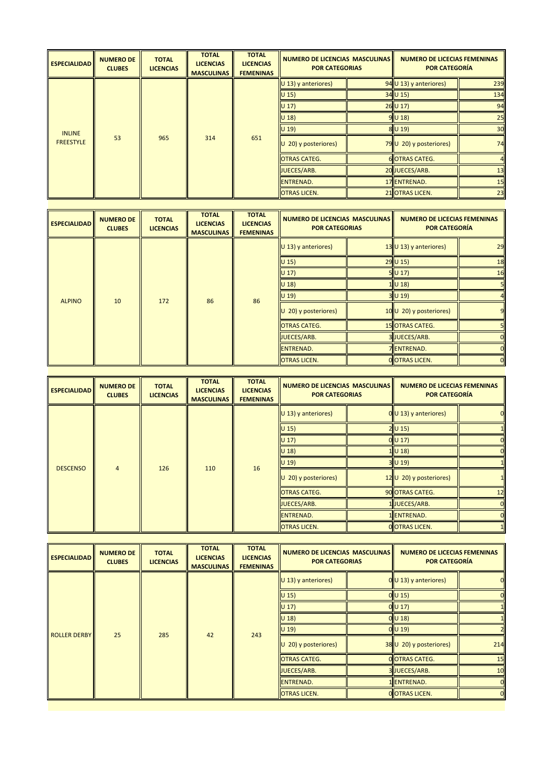| <b>ESPECIALIDAD</b> | <b>NUMERO DE</b><br><b>CLUBES</b> | <b>TOTAL</b><br><b>LICENCIAS</b> | <b>TOTAL</b><br><b>LICENCIAS</b><br><b>MASCULINAS</b> | <b>TOTAL</b><br><b>LICENCIAS</b><br><b>FEMENINAS</b> | <b>NUMERO DE LICENCIAS MASCULINAS</b><br><b>POR CATEGORIAS</b> | <b>NUMERO DE LICECIAS FEMENINAS</b><br><b>POR CATEGORÍA</b> |     |
|---------------------|-----------------------------------|----------------------------------|-------------------------------------------------------|------------------------------------------------------|----------------------------------------------------------------|-------------------------------------------------------------|-----|
|                     |                                   |                                  |                                                       |                                                      | $\vert$ U 13) y anteriores)                                    | $94$ U 13) y anteriores)                                    | 239 |
|                     |                                   |                                  |                                                       |                                                      | $ U 15\rangle$                                                 | $34$ U 15)                                                  | 134 |
|                     |                                   |                                  |                                                       |                                                      | $ U 17\rangle$                                                 | $26$ U 17)                                                  | 94  |
|                     |                                   |                                  |                                                       |                                                      | $ U 18\rangle$                                                 | $9$ U 18)                                                   | 25  |
| <b>INLINE</b>       |                                   |                                  |                                                       |                                                      | $ U 19\rangle$                                                 | $8$ U 19)                                                   | 30  |
| <b>FREESTYLE</b>    | 53                                | 965                              | 314                                                   | 651                                                  | $\vert$ U 20) y posteriores)                                   | 79 U 20) y posteriores)                                     | 74  |
|                     |                                   |                                  |                                                       |                                                      | <b>OTRAS CATEG.</b>                                            | <b>6</b> OTRAS CATEG.                                       |     |
|                     |                                   |                                  |                                                       |                                                      | JUECES/ARB.                                                    | 20 JUECES/ARB.                                              | 13  |
|                     |                                   |                                  | <b>IENTRENAD.</b>                                     | 17 ENTRENAD.                                         | 15                                                             |                                                             |     |
|                     |                                   |                                  |                                                       |                                                      | <b>OTRAS LICEN.</b>                                            | 21 OTRAS LICEN.                                             | 23  |

| <b>ESPECIALIDAD</b> | <b>NUMERO DE</b><br><b>CLUBES</b> | <b>TOTAL</b><br><b>LICENCIAS</b> | <b>TOTAL</b><br><b>LICENCIAS</b><br><b>MASCULINAS</b> | <b>TOTAL</b><br><b>LICENCIAS</b><br><b>FEMENINAS</b> | NUMERO DE LICENCIAS MASCULINAS<br><b>POR CATEGORIAS</b> |  | <b>NUMERO DE LICECIAS FEMENINAS</b><br>POR CATEGORÍA |    |
|---------------------|-----------------------------------|----------------------------------|-------------------------------------------------------|------------------------------------------------------|---------------------------------------------------------|--|------------------------------------------------------|----|
|                     |                                   |                                  |                                                       |                                                      | $U$ 13) y anteriores)                                   |  | $13$ U 13) y anteriores)                             | 29 |
|                     |                                   |                                  |                                                       |                                                      | $U$ 15)                                                 |  | $29$ U 15)                                           | 18 |
|                     |                                   |                                  |                                                       |                                                      | $U$ 17)                                                 |  | 5U17                                                 | 16 |
| <b>ALPINO</b>       |                                   |                                  |                                                       |                                                      | $U$ 18)<br>$1$ U 18)                                    |  |                                                      |    |
|                     | 10                                | 172                              | 86                                                    | 86                                                   | $U$ 19)                                                 |  | $3$ U 19)                                            |    |
|                     |                                   |                                  |                                                       |                                                      | $U$ 20) y posteriores)                                  |  | 10 U 20) y posteriores)                              | 9  |
|                     |                                   |                                  |                                                       |                                                      | <b>OTRAS CATEG.</b>                                     |  | <b>15 OTRAS CATEG.</b>                               |    |
|                     |                                   |                                  |                                                       |                                                      | JUECES/ARB.                                             |  | 3JUECES/ARB.                                         |    |
|                     |                                   |                                  |                                                       |                                                      | <b>ENTRENAD.</b>                                        |  | <b>7 ENTRENAD.</b>                                   |    |
|                     |                                   |                                  |                                                       |                                                      | <b>OTRAS LICEN.</b>                                     |  | <b>O</b> OTRAS LICEN.                                |    |
|                     |                                   |                                  |                                                       |                                                      |                                                         |  |                                                      |    |

| $0$ U 13) y anteriores)           |
|-----------------------------------|
|                                   |
|                                   |
|                                   |
|                                   |
| 12 U 20) y posteriores)           |
| 12                                |
|                                   |
|                                   |
|                                   |
| 90 OTRAS CATEG.<br>O OTRAS LICEN. |

| <b>ESPECIALIDAD</b> | <b>NUMERO DE</b><br><b>CLUBES</b> | <b>TOTAL</b><br><b>LICENCIAS</b> | <b>TOTAL</b><br><b>LICENCIAS</b><br><b>MASCULINAS</b> | <b>TOTAL</b><br><b>LICENCIAS</b><br><b>FEMENINAS</b> | <b>NUMERO DE LICENCIAS MASCULINAS</b><br><b>POR CATEGORIAS</b> | <b>NUMERO DE LICECIAS FEMENINAS</b><br><b>POR CATEGORÍA</b> |                |
|---------------------|-----------------------------------|----------------------------------|-------------------------------------------------------|------------------------------------------------------|----------------------------------------------------------------|-------------------------------------------------------------|----------------|
|                     |                                   |                                  |                                                       |                                                      | $U$ 13) y anteriores)                                          | $0$ U 13) y anteriores)                                     |                |
|                     |                                   |                                  |                                                       |                                                      | $U$ 15)                                                        | $0$ U 15)                                                   |                |
|                     |                                   |                                  |                                                       |                                                      | $U$ 17)                                                        | $0$ U 17)                                                   |                |
|                     |                                   |                                  |                                                       |                                                      | $U$ 18)                                                        | $0$ U 18)                                                   |                |
|                     | 25                                | 285                              | 42                                                    | 243                                                  | $U$ 19)                                                        | $0$ U 19)                                                   |                |
| <b>ROLLER DERBY</b> |                                   |                                  |                                                       |                                                      | 20) y posteriores)<br>U                                        | 38 U 20) y posteriores)                                     | 214            |
|                     |                                   |                                  |                                                       |                                                      | <b>OTRAS CATEG.</b>                                            | <b>O</b> OTRAS CATEG.                                       | 15             |
|                     |                                   |                                  |                                                       |                                                      | JUECES/ARB.                                                    | 3JUECES/ARB.                                                | 10             |
|                     |                                   |                                  |                                                       |                                                      | <b>ENTRENAD.</b>                                               | 1 ENTRENAD.                                                 |                |
|                     |                                   |                                  |                                                       |                                                      | <b>OTRAS LICEN.</b>                                            | O OTRAS LICEN.                                              | $\overline{0}$ |
|                     |                                   |                                  |                                                       |                                                      |                                                                |                                                             |                |